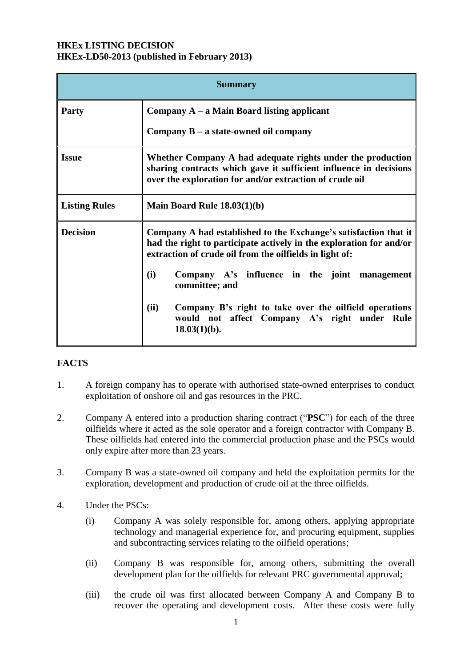#### **HKEx LISTING DECISION HKEx-LD50-2013 (published in February 2013)**

| <b>Summary</b>       |                                                                                                                                                                                                                                                            |
|----------------------|------------------------------------------------------------------------------------------------------------------------------------------------------------------------------------------------------------------------------------------------------------|
| <b>Party</b>         | Company $A - a$ Main Board listing applicant                                                                                                                                                                                                               |
|                      | Company $B - a$ state-owned oil company                                                                                                                                                                                                                    |
| <b>Issue</b>         | Whether Company A had adequate rights under the production<br>sharing contracts which gave it sufficient influence in decisions<br>over the exploration for and/or extraction of crude oil                                                                 |
| <b>Listing Rules</b> | Main Board Rule $18.03(1)(b)$                                                                                                                                                                                                                              |
| <b>Decision</b>      | Company A had established to the Exchange's satisfaction that it<br>had the right to participate actively in the exploration for and/or<br>extraction of crude oil from the oilfields in light of:<br>(i)<br>Company A's influence in the joint management |
|                      | committee; and                                                                                                                                                                                                                                             |
|                      | (ii)<br>Company B's right to take over the oilfield operations<br>would not affect Company A's right under Rule<br>$18.03(1)(b)$ .                                                                                                                         |

# **FACTS**

- 1. A foreign company has to operate with authorised state-owned enterprises to conduct exploitation of onshore oil and gas resources in the PRC.
- 2. Company A entered into a production sharing contract ("**PSC**") for each of the three oilfields where it acted as the sole operator and a foreign contractor with Company B. These oilfields had entered into the commercial production phase and the PSCs would only expire after more than 23 years.
- 3. Company B was a state-owned oil company and held the exploitation permits for the exploration, development and production of crude oil at the three oilfields.
- 4. Under the PSCs:
	- (i) Company A was solely responsible for, among others, applying appropriate technology and managerial experience for, and procuring equipment, supplies and subcontracting services relating to the oilfield operations;
	- (ii) Company B was responsible for, among others, submitting the overall development plan for the oilfields for relevant PRC governmental approval;
	- (iii) the crude oil was first allocated between Company A and Company B to recover the operating and development costs. After these costs were fully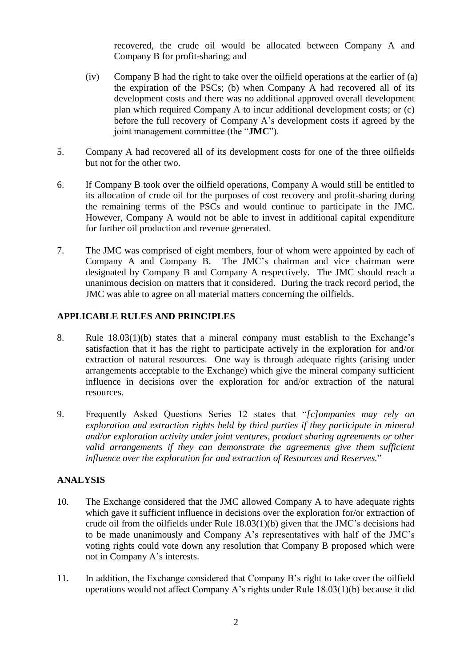recovered, the crude oil would be allocated between Company A and Company B for profit-sharing; and

- (iv) Company B had the right to take over the oilfield operations at the earlier of (a) the expiration of the PSCs; (b) when Company A had recovered all of its development costs and there was no additional approved overall development plan which required Company A to incur additional development costs; or (c) before the full recovery of Company A's development costs if agreed by the joint management committee (the "**JMC**").
- 5. Company A had recovered all of its development costs for one of the three oilfields but not for the other two.
- 6. If Company B took over the oilfield operations, Company A would still be entitled to its allocation of crude oil for the purposes of cost recovery and profit-sharing during the remaining terms of the PSCs and would continue to participate in the JMC. However, Company A would not be able to invest in additional capital expenditure for further oil production and revenue generated.
- 7. The JMC was comprised of eight members, four of whom were appointed by each of Company A and Company B. The JMC's chairman and vice chairman were designated by Company B and Company A respectively. The JMC should reach a unanimous decision on matters that it considered. During the track record period, the JMC was able to agree on all material matters concerning the oilfields.

## **APPLICABLE RULES AND PRINCIPLES**

- 8. Rule 18.03(1)(b) states that a mineral company must establish to the Exchange's satisfaction that it has the right to participate actively in the exploration for and/or extraction of natural resources. One way is through adequate rights (arising under arrangements acceptable to the Exchange) which give the mineral company sufficient influence in decisions over the exploration for and/or extraction of the natural resources.
- 9. Frequently Asked Questions Series 12 states that "*[c]ompanies may rely on exploration and extraction rights held by third parties if they participate in mineral and/or exploration activity under joint ventures, product sharing agreements or other valid arrangements if they can demonstrate the agreements give them sufficient influence over the exploration for and extraction of Resources and Reserves.*"

## **ANALYSIS**

- 10. The Exchange considered that the JMC allowed Company A to have adequate rights which gave it sufficient influence in decisions over the exploration for/or extraction of crude oil from the oilfields under Rule 18.03(1)(b) given that the JMC's decisions had to be made unanimously and Company A's representatives with half of the JMC's voting rights could vote down any resolution that Company B proposed which were not in Company A's interests.
- 11. In addition, the Exchange considered that Company B's right to take over the oilfield operations would not affect Company A's rights under Rule 18.03(1)(b) because it did